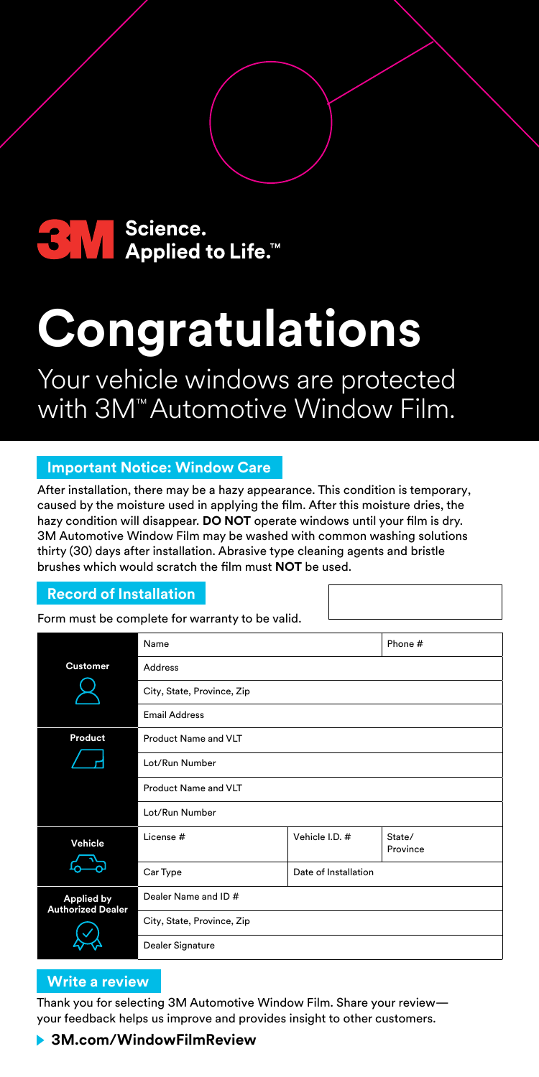

# **Congratulations**

Your vehicle windows are protected with 3M™ Automotive Window Film.

## **Important Notice: Window Care**

After installation, there may be a hazy appearance. This condition is temporary, caused by the moisture used in applying the film. After this moisture dries, the hazy condition will disappear. **DO NOT** operate windows until your film is dry. 3M Automotive Window Film may be washed with common washing solutions thirty (30) days after installation. Abrasive type cleaning agents and bristle brushes which would scratch the film must **NOT** be used.

## **Record of Installation**

Form must be complete for warranty to be valid.

|                                               | Name                                   |                      | Phone #            |
|-----------------------------------------------|----------------------------------------|----------------------|--------------------|
| <b>Customer</b>                               | Address                                |                      |                    |
|                                               | City, State, Province, Zip             |                      |                    |
|                                               | <b>Email Address</b>                   |                      |                    |
| Product                                       | Product Name and VLT<br>Lot/Run Number |                      |                    |
|                                               |                                        |                      |                    |
|                                               | Product Name and VLT                   |                      |                    |
|                                               | Lot/Run Number                         |                      |                    |
| Vehicle                                       | License #                              | Vehicle I.D. #       | State/<br>Province |
|                                               | Car Type                               | Date of Installation |                    |
| <b>Applied by</b><br><b>Authorized Dealer</b> | Dealer Name and ID#                    |                      |                    |
|                                               | City, State, Province, Zip             |                      |                    |
|                                               | Dealer Signature                       |                      |                    |

## **Write a review**

Thank you for selecting 3M Automotive Window Film. Share your review your feedback helps us improve and provides insight to other customers.

## **3M.com/WindowFilmReview**